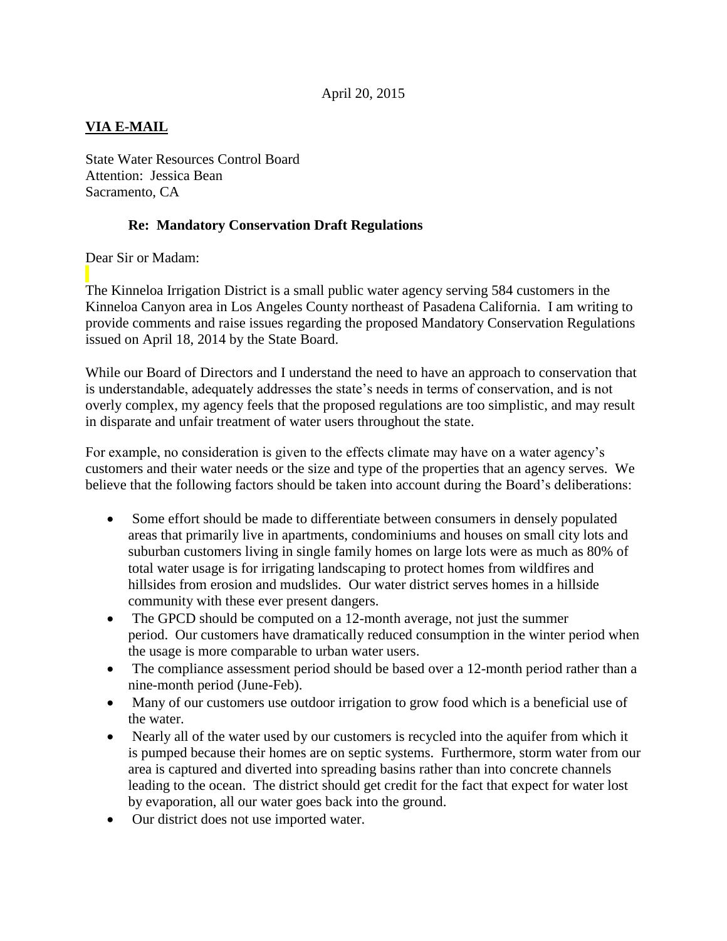## **VIA E-MAIL**

State Water Resources Control Board Attention: Jessica Bean Sacramento, CA

## **Re: Mandatory Conservation Draft Regulations**

Dear Sir or Madam:

The Kinneloa Irrigation District is a small public water agency serving 584 customers in the Kinneloa Canyon area in Los Angeles County northeast of Pasadena California. I am writing to provide comments and raise issues regarding the proposed Mandatory Conservation Regulations issued on April 18, 2014 by the State Board.

While our Board of Directors and I understand the need to have an approach to conservation that is understandable, adequately addresses the state's needs in terms of conservation, and is not overly complex, my agency feels that the proposed regulations are too simplistic, and may result in disparate and unfair treatment of water users throughout the state.

For example, no consideration is given to the effects climate may have on a water agency's customers and their water needs or the size and type of the properties that an agency serves. We believe that the following factors should be taken into account during the Board's deliberations:

- Some effort should be made to differentiate between consumers in densely populated areas that primarily live in apartments, condominiums and houses on small city lots and suburban customers living in single family homes on large lots were as much as 80% of total water usage is for irrigating landscaping to protect homes from wildfires and hillsides from erosion and mudslides. Our water district serves homes in a hillside community with these ever present dangers.
- The GPCD should be computed on a 12-month average, not just the summer period. Our customers have dramatically reduced consumption in the winter period when the usage is more comparable to urban water users.
- The compliance assessment period should be based over a 12-month period rather than a nine-month period (June-Feb).
- Many of our customers use outdoor irrigation to grow food which is a beneficial use of the water.
- Nearly all of the water used by our customers is recycled into the aquifer from which it is pumped because their homes are on septic systems. Furthermore, storm water from our area is captured and diverted into spreading basins rather than into concrete channels leading to the ocean. The district should get credit for the fact that expect for water lost by evaporation, all our water goes back into the ground.
- Our district does not use imported water.